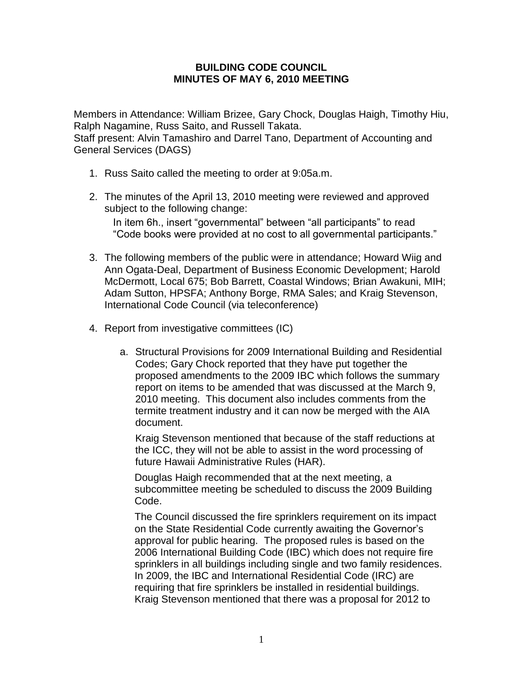## **BUILDING CODE COUNCIL MINUTES OF MAY 6, 2010 MEETING**

Members in Attendance: William Brizee, Gary Chock, Douglas Haigh, Timothy Hiu, Ralph Nagamine, Russ Saito, and Russell Takata.

Staff present: Alvin Tamashiro and Darrel Tano, Department of Accounting and General Services (DAGS)

- 1. Russ Saito called the meeting to order at 9:05a.m.
- 2. The minutes of the April 13, 2010 meeting were reviewed and approved subject to the following change:

 In item 6h., insert "governmental" between "all participants" to read "Code books were provided at no cost to all governmental participants."

- 3. The following members of the public were in attendance; Howard Wiig and Ann Ogata-Deal, Department of Business Economic Development; Harold McDermott, Local 675; Bob Barrett, Coastal Windows; Brian Awakuni, MIH; Adam Sutton, HPSFA; Anthony Borge, RMA Sales; and Kraig Stevenson, International Code Council (via teleconference)
- 4. Report from investigative committees (IC)
	- a. Structural Provisions for 2009 International Building and Residential Codes; Gary Chock reported that they have put together the proposed amendments to the 2009 IBC which follows the summary report on items to be amended that was discussed at the March 9, 2010 meeting. This document also includes comments from the termite treatment industry and it can now be merged with the AIA document.

Kraig Stevenson mentioned that because of the staff reductions at the ICC, they will not be able to assist in the word processing of future Hawaii Administrative Rules (HAR).

Douglas Haigh recommended that at the next meeting, a subcommittee meeting be scheduled to discuss the 2009 Building Code.

The Council discussed the fire sprinklers requirement on its impact on the State Residential Code currently awaiting the Governor's approval for public hearing. The proposed rules is based on the 2006 International Building Code (IBC) which does not require fire sprinklers in all buildings including single and two family residences. In 2009, the IBC and International Residential Code (IRC) are requiring that fire sprinklers be installed in residential buildings. Kraig Stevenson mentioned that there was a proposal for 2012 to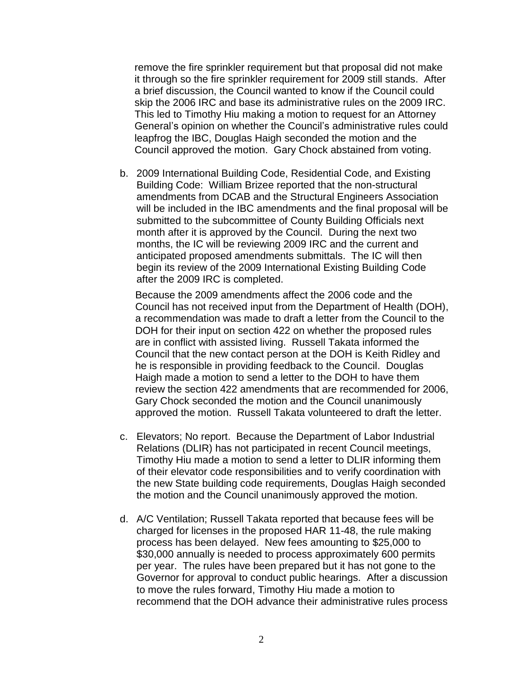remove the fire sprinkler requirement but that proposal did not make it through so the fire sprinkler requirement for 2009 still stands. After a brief discussion, the Council wanted to know if the Council could skip the 2006 IRC and base its administrative rules on the 2009 IRC. This led to Timothy Hiu making a motion to request for an Attorney General's opinion on whether the Council's administrative rules could leapfrog the IBC, Douglas Haigh seconded the motion and the Council approved the motion. Gary Chock abstained from voting.

b. 2009 International Building Code, Residential Code, and Existing Building Code: William Brizee reported that the non-structural amendments from DCAB and the Structural Engineers Association will be included in the IBC amendments and the final proposal will be submitted to the subcommittee of County Building Officials next month after it is approved by the Council. During the next two months, the IC will be reviewing 2009 IRC and the current and anticipated proposed amendments submittals. The IC will then begin its review of the 2009 International Existing Building Code after the 2009 IRC is completed.

Because the 2009 amendments affect the 2006 code and the Council has not received input from the Department of Health (DOH), a recommendation was made to draft a letter from the Council to the DOH for their input on section 422 on whether the proposed rules are in conflict with assisted living. Russell Takata informed the Council that the new contact person at the DOH is Keith Ridley and he is responsible in providing feedback to the Council. Douglas Haigh made a motion to send a letter to the DOH to have them review the section 422 amendments that are recommended for 2006, Gary Chock seconded the motion and the Council unanimously approved the motion. Russell Takata volunteered to draft the letter.

- c. Elevators; No report. Because the Department of Labor Industrial Relations (DLIR) has not participated in recent Council meetings, Timothy Hiu made a motion to send a letter to DLIR informing them of their elevator code responsibilities and to verify coordination with the new State building code requirements, Douglas Haigh seconded the motion and the Council unanimously approved the motion.
- d. A/C Ventilation; Russell Takata reported that because fees will be charged for licenses in the proposed HAR 11-48, the rule making process has been delayed. New fees amounting to \$25,000 to \$30,000 annually is needed to process approximately 600 permits per year. The rules have been prepared but it has not gone to the Governor for approval to conduct public hearings. After a discussion to move the rules forward, Timothy Hiu made a motion to recommend that the DOH advance their administrative rules process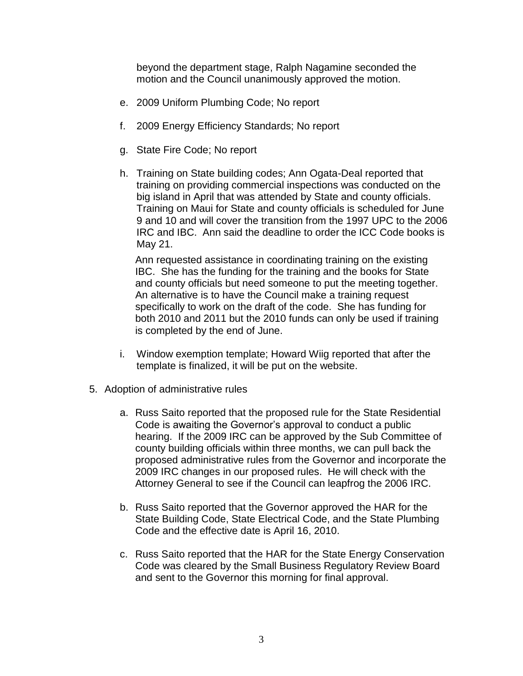beyond the department stage, Ralph Nagamine seconded the motion and the Council unanimously approved the motion.

- e. 2009 Uniform Plumbing Code; No report
- f. 2009 Energy Efficiency Standards; No report
- g. State Fire Code; No report
- h. Training on State building codes; Ann Ogata-Deal reported that training on providing commercial inspections was conducted on the big island in April that was attended by State and county officials. Training on Maui for State and county officials is scheduled for June 9 and 10 and will cover the transition from the 1997 UPC to the 2006 IRC and IBC. Ann said the deadline to order the ICC Code books is May 21.

Ann requested assistance in coordinating training on the existing IBC. She has the funding for the training and the books for State and county officials but need someone to put the meeting together. An alternative is to have the Council make a training request specifically to work on the draft of the code. She has funding for both 2010 and 2011 but the 2010 funds can only be used if training is completed by the end of June.

- i. Window exemption template; Howard Wiig reported that after the template is finalized, it will be put on the website.
- 5. Adoption of administrative rules
	- a. Russ Saito reported that the proposed rule for the State Residential Code is awaiting the Governor's approval to conduct a public hearing. If the 2009 IRC can be approved by the Sub Committee of county building officials within three months, we can pull back the proposed administrative rules from the Governor and incorporate the 2009 IRC changes in our proposed rules. He will check with the Attorney General to see if the Council can leapfrog the 2006 IRC.
	- b. Russ Saito reported that the Governor approved the HAR for the State Building Code, State Electrical Code, and the State Plumbing Code and the effective date is April 16, 2010.
	- c. Russ Saito reported that the HAR for the State Energy Conservation Code was cleared by the Small Business Regulatory Review Board and sent to the Governor this morning for final approval.